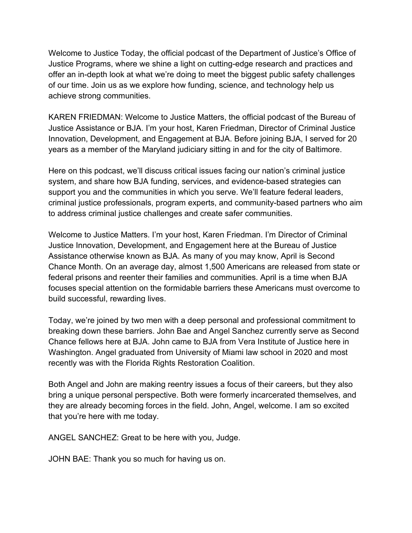Welcome to Justice Today, the official podcast of the Department of Justice's Office of Justice Programs, where we shine a light on cutting-edge research and practices and offer an in-depth look at what we're doing to meet the biggest public safety challenges of our time. Join us as we explore how funding, science, and technology help us achieve strong communities.

KAREN FRIEDMAN: Welcome to Justice Matters, the official podcast of the Bureau of Justice Assistance or BJA. I'm your host, Karen Friedman, Director of Criminal Justice Innovation, Development, and Engagement at BJA. Before joining BJA, I served for 20 years as a member of the Maryland judiciary sitting in and for the city of Baltimore.

Here on this podcast, we'll discuss critical issues facing our nation's criminal justice system, and share how BJA funding, services, and evidence-based strategies can support you and the communities in which you serve. We'll feature federal leaders, criminal justice professionals, program experts, and community-based partners who aim to address criminal justice challenges and create safer communities.

Welcome to Justice Matters. I'm your host, Karen Friedman. I'm Director of Criminal Justice Innovation, Development, and Engagement here at the Bureau of Justice Assistance otherwise known as BJA. As many of you may know, April is Second Chance Month. On an average day, almost 1,500 Americans are released from state or federal prisons and reenter their families and communities. April is a time when BJA focuses special attention on the formidable barriers these Americans must overcome to build successful, rewarding lives.

Today, we're joined by two men with a deep personal and professional commitment to breaking down these barriers. John Bae and Angel Sanchez currently serve as Second Chance fellows here at BJA. John came to BJA from Vera Institute of Justice here in Washington. Angel graduated from University of Miami law school in 2020 and most recently was with the Florida Rights Restoration Coalition.

Both Angel and John are making reentry issues a focus of their careers, but they also bring a unique personal perspective. Both were formerly incarcerated themselves, and they are already becoming forces in the field. John, Angel, welcome. I am so excited that you're here with me today.

ANGEL SANCHEZ: Great to be here with you, Judge.

JOHN BAE: Thank you so much for having us on.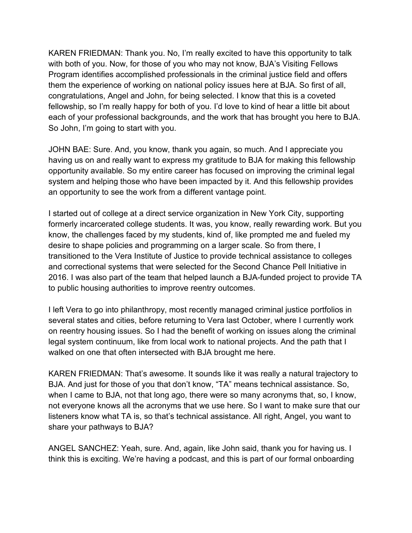KAREN FRIEDMAN: Thank you. No, I'm really excited to have this opportunity to talk with both of you. Now, for those of you who may not know, BJA's Visiting Fellows Program identifies accomplished professionals in the criminal justice field and offers them the experience of working on national policy issues here at BJA. So first of all, congratulations, Angel and John, for being selected. I know that this is a coveted fellowship, so I'm really happy for both of you. I'd love to kind of hear a little bit about each of your professional backgrounds, and the work that has brought you here to BJA. So John, I'm going to start with you.

JOHN BAE: Sure. And, you know, thank you again, so much. And I appreciate you having us on and really want to express my gratitude to BJA for making this fellowship opportunity available. So my entire career has focused on improving the criminal legal system and helping those who have been impacted by it. And this fellowship provides an opportunity to see the work from a different vantage point.

I started out of college at a direct service organization in New York City, supporting formerly incarcerated college students. It was, you know, really rewarding work. But you know, the challenges faced by my students, kind of, like prompted me and fueled my desire to shape policies and programming on a larger scale. So from there, I transitioned to the Vera Institute of Justice to provide technical assistance to colleges and correctional systems that were selected for the Second Chance Pell Initiative in 2016. I was also part of the team that helped launch a BJA-funded project to provide TA to public housing authorities to improve reentry outcomes.

I left Vera to go into philanthropy, most recently managed criminal justice portfolios in several states and cities, before returning to Vera last October, where I currently work on reentry housing issues. So I had the benefit of working on issues along the criminal legal system continuum, like from local work to national projects. And the path that I walked on one that often intersected with BJA brought me here.

KAREN FRIEDMAN: That's awesome. It sounds like it was really a natural trajectory to BJA. And just for those of you that don't know, "TA" means technical assistance. So, when I came to BJA, not that long ago, there were so many acronyms that, so, I know, not everyone knows all the acronyms that we use here. So I want to make sure that our listeners know what TA is, so that's technical assistance. All right, Angel, you want to share your pathways to BJA?

ANGEL SANCHEZ: Yeah, sure. And, again, like John said, thank you for having us. I think this is exciting. We're having a podcast, and this is part of our formal onboarding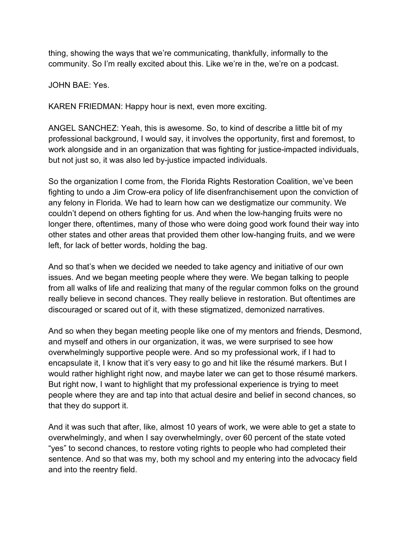thing, showing the ways that we're communicating, thankfully, informally to the community. So I'm really excited about this. Like we're in the, we're on a podcast.

JOHN BAE: Yes.

KAREN FRIEDMAN: Happy hour is next, even more exciting.

ANGEL SANCHEZ: Yeah, this is awesome. So, to kind of describe a little bit of my professional background, I would say, it involves the opportunity, first and foremost, to work alongside and in an organization that was fighting for justice-impacted individuals, but not just so, it was also led by-justice impacted individuals.

So the organization I come from, the Florida Rights Restoration Coalition, we've been fighting to undo a Jim Crow-era policy of life disenfranchisement upon the conviction of any felony in Florida. We had to learn how can we destigmatize our community. We couldn't depend on others fighting for us. And when the low-hanging fruits were no longer there, oftentimes, many of those who were doing good work found their way into other states and other areas that provided them other low-hanging fruits, and we were left, for lack of better words, holding the bag.

And so that's when we decided we needed to take agency and initiative of our own issues. And we began meeting people where they were. We began talking to people from all walks of life and realizing that many of the regular common folks on the ground really believe in second chances. They really believe in restoration. But oftentimes are discouraged or scared out of it, with these stigmatized, demonized narratives.

And so when they began meeting people like one of my mentors and friends, Desmond, and myself and others in our organization, it was, we were surprised to see how overwhelmingly supportive people were. And so my professional work, if I had to encapsulate it, I know that it's very easy to go and hit like the résumé markers. But I would rather highlight right now, and maybe later we can get to those résumé markers. But right now, I want to highlight that my professional experience is trying to meet people where they are and tap into that actual desire and belief in second chances, so that they do support it.

And it was such that after, like, almost 10 years of work, we were able to get a state to overwhelmingly, and when I say overwhelmingly, over 60 percent of the state voted "yes" to second chances, to restore voting rights to people who had completed their sentence. And so that was my, both my school and my entering into the advocacy field and into the reentry field.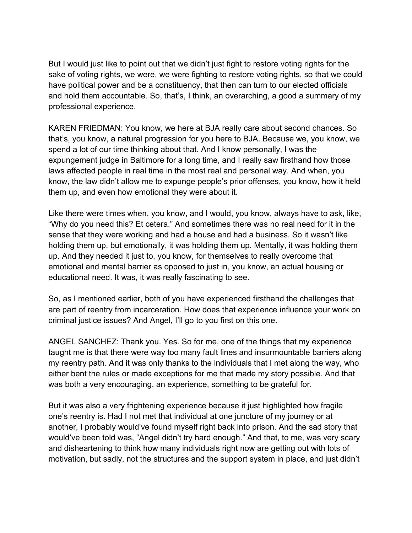But I would just like to point out that we didn't just fight to restore voting rights for the sake of voting rights, we were, we were fighting to restore voting rights, so that we could have political power and be a constituency, that then can turn to our elected officials and hold them accountable. So, that's, I think, an overarching, a good a summary of my professional experience.

KAREN FRIEDMAN: You know, we here at BJA really care about second chances. So that's, you know, a natural progression for you here to BJA. Because we, you know, we spend a lot of our time thinking about that. And I know personally, I was the expungement judge in Baltimore for a long time, and I really saw firsthand how those laws affected people in real time in the most real and personal way. And when, you know, the law didn't allow me to expunge people's prior offenses, you know, how it held them up, and even how emotional they were about it.

Like there were times when, you know, and I would, you know, always have to ask, like, "Why do you need this? Et cetera." And sometimes there was no real need for it in the sense that they were working and had a house and had a business. So it wasn't like holding them up, but emotionally, it was holding them up. Mentally, it was holding them up. And they needed it just to, you know, for themselves to really overcome that emotional and mental barrier as opposed to just in, you know, an actual housing or educational need. It was, it was really fascinating to see.

So, as I mentioned earlier, both of you have experienced firsthand the challenges that are part of reentry from incarceration. How does that experience influence your work on criminal justice issues? And Angel, I'll go to you first on this one.

ANGEL SANCHEZ: Thank you. Yes. So for me, one of the things that my experience taught me is that there were way too many fault lines and insurmountable barriers along my reentry path. And it was only thanks to the individuals that I met along the way, who either bent the rules or made exceptions for me that made my story possible. And that was both a very encouraging, an experience, something to be grateful for.

But it was also a very frightening experience because it just highlighted how fragile one's reentry is. Had I not met that individual at one juncture of my journey or at another, I probably would've found myself right back into prison. And the sad story that would've been told was, "Angel didn't try hard enough." And that, to me, was very scary and disheartening to think how many individuals right now are getting out with lots of motivation, but sadly, not the structures and the support system in place, and just didn't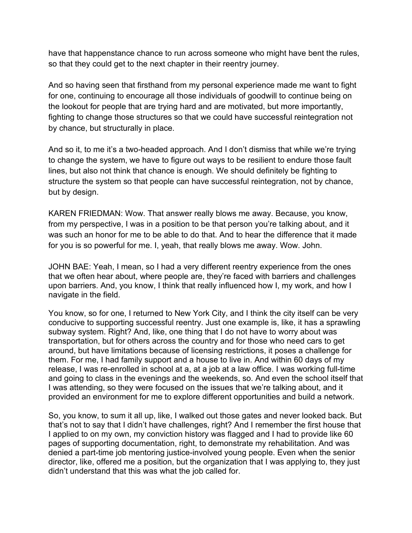have that happenstance chance to run across someone who might have bent the rules, so that they could get to the next chapter in their reentry journey.

And so having seen that firsthand from my personal experience made me want to fight for one, continuing to encourage all those individuals of goodwill to continue being on the lookout for people that are trying hard and are motivated, but more importantly, fighting to change those structures so that we could have successful reintegration not by chance, but structurally in place.

And so it, to me it's a two-headed approach. And I don't dismiss that while we're trying to change the system, we have to figure out ways to be resilient to endure those fault lines, but also not think that chance is enough. We should definitely be fighting to structure the system so that people can have successful reintegration, not by chance, but by design.

KAREN FRIEDMAN: Wow. That answer really blows me away. Because, you know, from my perspective, I was in a position to be that person you're talking about, and it was such an honor for me to be able to do that. And to hear the difference that it made for you is so powerful for me. I, yeah, that really blows me away. Wow. John.

JOHN BAE: Yeah, I mean, so I had a very different reentry experience from the ones that we often hear about, where people are, they're faced with barriers and challenges upon barriers. And, you know, I think that really influenced how I, my work, and how I navigate in the field.

You know, so for one, I returned to New York City, and I think the city itself can be very conducive to supporting successful reentry. Just one example is, like, it has a sprawling subway system. Right? And, like, one thing that I do not have to worry about was transportation, but for others across the country and for those who need cars to get around, but have limitations because of licensing restrictions, it poses a challenge for them. For me, I had family support and a house to live in. And within 60 days of my release, I was re-enrolled in school at a, at a job at a law office. I was working full-time and going to class in the evenings and the weekends, so. And even the school itself that I was attending, so they were focused on the issues that we're talking about, and it provided an environment for me to explore different opportunities and build a network.

So, you know, to sum it all up, like, I walked out those gates and never looked back. But that's not to say that I didn't have challenges, right? And I remember the first house that I applied to on my own, my conviction history was flagged and I had to provide like 60 pages of supporting documentation, right, to demonstrate my rehabilitation. And was denied a part-time job mentoring justice-involved young people. Even when the senior director, like, offered me a position, but the organization that I was applying to, they just didn't understand that this was what the job called for.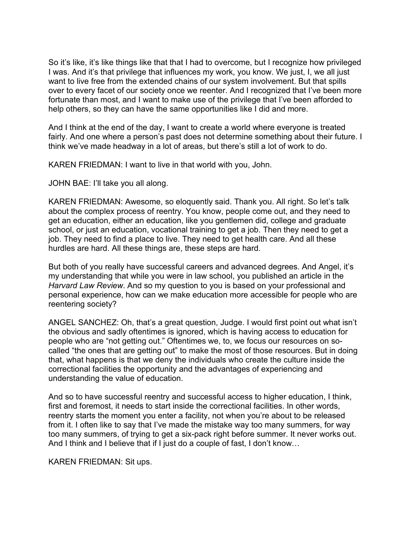So it's like, it's like things like that that I had to overcome, but I recognize how privileged I was. And it's that privilege that influences my work, you know. We just, I, we all just want to live free from the extended chains of our system involvement. But that spills over to every facet of our society once we reenter. And I recognized that I've been more fortunate than most, and I want to make use of the privilege that I've been afforded to help others, so they can have the same opportunities like I did and more.

And I think at the end of the day, I want to create a world where everyone is treated fairly. And one where a person's past does not determine something about their future. I think we've made headway in a lot of areas, but there's still a lot of work to do.

KAREN FRIEDMAN: I want to live in that world with you, John.

JOHN BAE: I'll take you all along.

KAREN FRIEDMAN: Awesome, so eloquently said. Thank you. All right. So let's talk about the complex process of reentry. You know, people come out, and they need to get an education, either an education, like you gentlemen did, college and graduate school, or just an education, vocational training to get a job. Then they need to get a job. They need to find a place to live. They need to get health care. And all these hurdles are hard. All these things are, these steps are hard.

But both of you really have successful careers and advanced degrees. And Angel, it's my understanding that while you were in law school, you published an article in the *Harvard Law Review*. And so my question to you is based on your professional and personal experience, how can we make education more accessible for people who are reentering society?

ANGEL SANCHEZ: Oh, that's a great question, Judge. I would first point out what isn't the obvious and sadly oftentimes is ignored, which is having access to education for people who are "not getting out." Oftentimes we, to, we focus our resources on socalled "the ones that are getting out" to make the most of those resources. But in doing that, what happens is that we deny the individuals who create the culture inside the correctional facilities the opportunity and the advantages of experiencing and understanding the value of education.

And so to have successful reentry and successful access to higher education, I think, first and foremost, it needs to start inside the correctional facilities. In other words, reentry starts the moment you enter a facility, not when you're about to be released from it. I often like to say that I've made the mistake way too many summers, for way too many summers, of trying to get a six-pack right before summer. It never works out. And I think and I believe that if I just do a couple of fast, I don't know…

KAREN FRIEDMAN: Sit ups.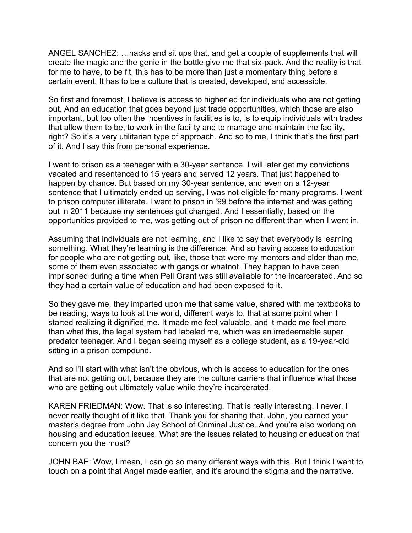ANGEL SANCHEZ: …hacks and sit ups that, and get a couple of supplements that will create the magic and the genie in the bottle give me that six-pack. And the reality is that for me to have, to be fit, this has to be more than just a momentary thing before a certain event. It has to be a culture that is created, developed, and accessible.

So first and foremost, I believe is access to higher ed for individuals who are not getting out. And an education that goes beyond just trade opportunities, which those are also important, but too often the incentives in facilities is to, is to equip individuals with trades that allow them to be, to work in the facility and to manage and maintain the facility, right? So it's a very utilitarian type of approach. And so to me, I think that's the first part of it. And I say this from personal experience.

I went to prison as a teenager with a 30-year sentence. I will later get my convictions vacated and resentenced to 15 years and served 12 years. That just happened to happen by chance. But based on my 30-year sentence, and even on a 12-year sentence that I ultimately ended up serving, I was not eligible for many programs. I went to prison computer illiterate. I went to prison in '99 before the internet and was getting out in 2011 because my sentences got changed. And I essentially, based on the opportunities provided to me, was getting out of prison no different than when I went in.

Assuming that individuals are not learning, and I like to say that everybody is learning something. What they're learning is the difference. And so having access to education for people who are not getting out, like, those that were my mentors and older than me, some of them even associated with gangs or whatnot. They happen to have been imprisoned during a time when Pell Grant was still available for the incarcerated. And so they had a certain value of education and had been exposed to it.

So they gave me, they imparted upon me that same value, shared with me textbooks to be reading, ways to look at the world, different ways to, that at some point when I started realizing it dignified me. It made me feel valuable, and it made me feel more than what this, the legal system had labeled me, which was an irredeemable super predator teenager. And I began seeing myself as a college student, as a 19-year-old sitting in a prison compound.

And so I'll start with what isn't the obvious, which is access to education for the ones that are not getting out, because they are the culture carriers that influence what those who are getting out ultimately value while they're incarcerated.

KAREN FRIEDMAN: Wow. That is so interesting. That is really interesting. I never, I never really thought of it like that. Thank you for sharing that. John, you earned your master's degree from John Jay School of Criminal Justice. And you're also working on housing and education issues. What are the issues related to housing or education that concern you the most?

JOHN BAE: Wow, I mean, I can go so many different ways with this. But I think I want to touch on a point that Angel made earlier, and it's around the stigma and the narrative.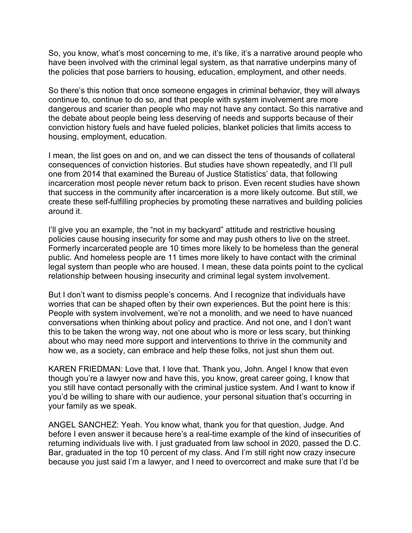So, you know, what's most concerning to me, it's like, it's a narrative around people who have been involved with the criminal legal system, as that narrative underpins many of the policies that pose barriers to housing, education, employment, and other needs.

So there's this notion that once someone engages in criminal behavior, they will always continue to, continue to do so, and that people with system involvement are more dangerous and scarier than people who may not have any contact. So this narrative and the debate about people being less deserving of needs and supports because of their conviction history fuels and have fueled policies, blanket policies that limits access to housing, employment, education.

I mean, the list goes on and on, and we can dissect the tens of thousands of collateral consequences of conviction histories. But studies have shown repeatedly, and I'll pull one from 2014 that examined the Bureau of Justice Statistics' data, that following incarceration most people never return back to prison. Even recent studies have shown that success in the community after incarceration is a more likely outcome. But still, we create these self-fulfilling prophecies by promoting these narratives and building policies around it.

I'll give you an example, the "not in my backyard" attitude and restrictive housing policies cause housing insecurity for some and may push others to live on the street. Formerly incarcerated people are 10 times more likely to be homeless than the general public. And homeless people are 11 times more likely to have contact with the criminal legal system than people who are housed. I mean, these data points point to the cyclical relationship between housing insecurity and criminal legal system involvement.

But I don't want to dismiss people's concerns. And I recognize that individuals have worries that can be shaped often by their own experiences. But the point here is this: People with system involvement, we're not a monolith, and we need to have nuanced conversations when thinking about policy and practice. And not one, and I don't want this to be taken the wrong way, not one about who is more or less scary, but thinking about who may need more support and interventions to thrive in the community and how we, as a society, can embrace and help these folks, not just shun them out.

KAREN FRIEDMAN: Love that. I love that. Thank you, John. Angel I know that even though you're a lawyer now and have this, you know, great career going, I know that you still have contact personally with the criminal justice system. And I want to know if you'd be willing to share with our audience, your personal situation that's occurring in your family as we speak.

ANGEL SANCHEZ: Yeah. You know what, thank you for that question, Judge. And before I even answer it because here's a real-time example of the kind of insecurities of returning individuals live with. I just graduated from law school in 2020, passed the D.C. Bar, graduated in the top 10 percent of my class. And I'm still right now crazy insecure because you just said I'm a lawyer, and I need to overcorrect and make sure that I'd be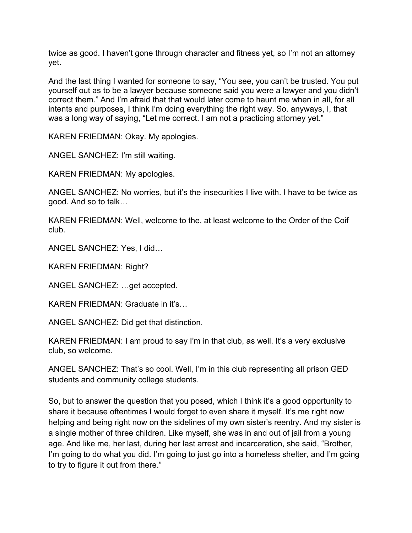twice as good. I haven't gone through character and fitness yet, so I'm not an attorney yet.

And the last thing I wanted for someone to say, "You see, you can't be trusted. You put yourself out as to be a lawyer because someone said you were a lawyer and you didn't correct them." And I'm afraid that that would later come to haunt me when in all, for all intents and purposes, I think I'm doing everything the right way. So. anyways, I, that was a long way of saying, "Let me correct. I am not a practicing attorney yet."

KAREN FRIEDMAN: Okay. My apologies.

ANGEL SANCHEZ: I'm still waiting.

KAREN FRIEDMAN: My apologies.

ANGEL SANCHEZ: No worries, but it's the insecurities I live with. I have to be twice as good. And so to talk…

KAREN FRIEDMAN: Well, welcome to the, at least welcome to the Order of the Coif club.

ANGEL SANCHEZ: Yes, I did…

KAREN FRIEDMAN: Right?

ANGEL SANCHEZ: …get accepted.

KAREN FRIEDMAN: Graduate in it's…

ANGEL SANCHEZ: Did get that distinction.

KAREN FRIEDMAN: I am proud to say I'm in that club, as well. It's a very exclusive club, so welcome.

ANGEL SANCHEZ: That's so cool. Well, I'm in this club representing all prison GED students and community college students.

So, but to answer the question that you posed, which I think it's a good opportunity to share it because oftentimes I would forget to even share it myself. It's me right now helping and being right now on the sidelines of my own sister's reentry. And my sister is a single mother of three children. Like myself, she was in and out of jail from a young age. And like me, her last, during her last arrest and incarceration, she said, "Brother, I'm going to do what you did. I'm going to just go into a homeless shelter, and I'm going to try to figure it out from there."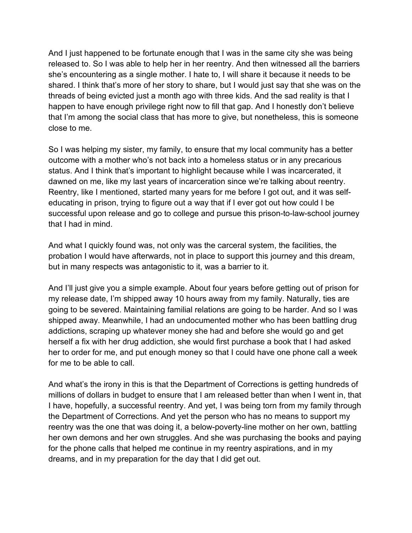And I just happened to be fortunate enough that I was in the same city she was being released to. So I was able to help her in her reentry. And then witnessed all the barriers she's encountering as a single mother. I hate to, I will share it because it needs to be shared. I think that's more of her story to share, but I would just say that she was on the threads of being evicted just a month ago with three kids. And the sad reality is that I happen to have enough privilege right now to fill that gap. And I honestly don't believe that I'm among the social class that has more to give, but nonetheless, this is someone close to me.

So I was helping my sister, my family, to ensure that my local community has a better outcome with a mother who's not back into a homeless status or in any precarious status. And I think that's important to highlight because while I was incarcerated, it dawned on me, like my last years of incarceration since we're talking about reentry. Reentry, like I mentioned, started many years for me before I got out, and it was selfeducating in prison, trying to figure out a way that if I ever got out how could I be successful upon release and go to college and pursue this prison-to-law-school journey that I had in mind.

And what I quickly found was, not only was the carceral system, the facilities, the probation I would have afterwards, not in place to support this journey and this dream, but in many respects was antagonistic to it, was a barrier to it.

And I'll just give you a simple example. About four years before getting out of prison for my release date, I'm shipped away 10 hours away from my family. Naturally, ties are going to be severed. Maintaining familial relations are going to be harder. And so I was shipped away. Meanwhile, I had an undocumented mother who has been battling drug addictions, scraping up whatever money she had and before she would go and get herself a fix with her drug addiction, she would first purchase a book that I had asked her to order for me, and put enough money so that I could have one phone call a week for me to be able to call.

And what's the irony in this is that the Department of Corrections is getting hundreds of millions of dollars in budget to ensure that I am released better than when I went in, that I have, hopefully, a successful reentry. And yet, I was being torn from my family through the Department of Corrections. And yet the person who has no means to support my reentry was the one that was doing it, a below-poverty-line mother on her own, battling her own demons and her own struggles. And she was purchasing the books and paying for the phone calls that helped me continue in my reentry aspirations, and in my dreams, and in my preparation for the day that I did get out.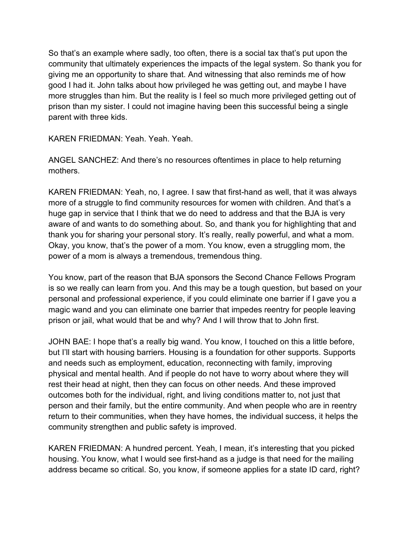So that's an example where sadly, too often, there is a social tax that's put upon the community that ultimately experiences the impacts of the legal system. So thank you for giving me an opportunity to share that. And witnessing that also reminds me of how good I had it. John talks about how privileged he was getting out, and maybe I have more struggles than him. But the reality is I feel so much more privileged getting out of prison than my sister. I could not imagine having been this successful being a single parent with three kids.

KAREN FRIEDMAN: Yeah. Yeah. Yeah.

ANGEL SANCHEZ: And there's no resources oftentimes in place to help returning mothers.

KAREN FRIEDMAN: Yeah, no, I agree. I saw that first-hand as well, that it was always more of a struggle to find community resources for women with children. And that's a huge gap in service that I think that we do need to address and that the BJA is very aware of and wants to do something about. So, and thank you for highlighting that and thank you for sharing your personal story. It's really, really powerful, and what a mom. Okay, you know, that's the power of a mom. You know, even a struggling mom, the power of a mom is always a tremendous, tremendous thing.

You know, part of the reason that BJA sponsors the Second Chance Fellows Program is so we really can learn from you. And this may be a tough question, but based on your personal and professional experience, if you could eliminate one barrier if I gave you a magic wand and you can eliminate one barrier that impedes reentry for people leaving prison or jail, what would that be and why? And I will throw that to John first.

JOHN BAE: I hope that's a really big wand. You know, I touched on this a little before, but I'll start with housing barriers. Housing is a foundation for other supports. Supports and needs such as employment, education, reconnecting with family, improving physical and mental health. And if people do not have to worry about where they will rest their head at night, then they can focus on other needs. And these improved outcomes both for the individual, right, and living conditions matter to, not just that person and their family, but the entire community. And when people who are in reentry return to their communities, when they have homes, the individual success, it helps the community strengthen and public safety is improved.

KAREN FRIEDMAN: A hundred percent. Yeah, I mean, it's interesting that you picked housing. You know, what I would see first-hand as a judge is that need for the mailing address became so critical. So, you know, if someone applies for a state ID card, right?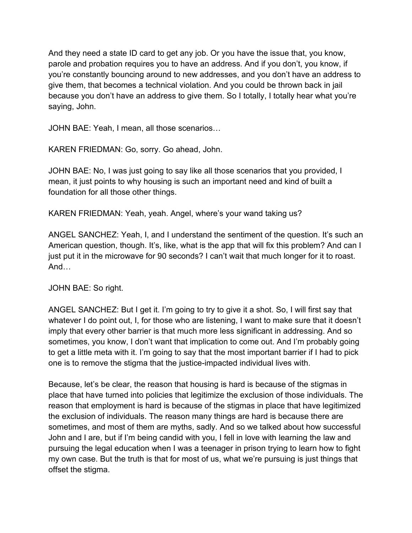And they need a state ID card to get any job. Or you have the issue that, you know, parole and probation requires you to have an address. And if you don't, you know, if you're constantly bouncing around to new addresses, and you don't have an address to give them, that becomes a technical violation. And you could be thrown back in jail because you don't have an address to give them. So I totally, I totally hear what you're saying, John.

JOHN BAE: Yeah, I mean, all those scenarios…

KAREN FRIEDMAN: Go, sorry. Go ahead, John.

JOHN BAE: No, I was just going to say like all those scenarios that you provided, I mean, it just points to why housing is such an important need and kind of built a foundation for all those other things.

KAREN FRIEDMAN: Yeah, yeah. Angel, where's your wand taking us?

ANGEL SANCHEZ: Yeah, I, and I understand the sentiment of the question. It's such an American question, though. It's, like, what is the app that will fix this problem? And can I just put it in the microwave for 90 seconds? I can't wait that much longer for it to roast. And…

JOHN BAE: So right.

ANGEL SANCHEZ: But I get it. I'm going to try to give it a shot. So, I will first say that whatever I do point out, I, for those who are listening, I want to make sure that it doesn't imply that every other barrier is that much more less significant in addressing. And so sometimes, you know, I don't want that implication to come out. And I'm probably going to get a little meta with it. I'm going to say that the most important barrier if I had to pick one is to remove the stigma that the justice-impacted individual lives with.

Because, let's be clear, the reason that housing is hard is because of the stigmas in place that have turned into policies that legitimize the exclusion of those individuals. The reason that employment is hard is because of the stigmas in place that have legitimized the exclusion of individuals. The reason many things are hard is because there are sometimes, and most of them are myths, sadly. And so we talked about how successful John and I are, but if I'm being candid with you, I fell in love with learning the law and pursuing the legal education when I was a teenager in prison trying to learn how to fight my own case. But the truth is that for most of us, what we're pursuing is just things that offset the stigma.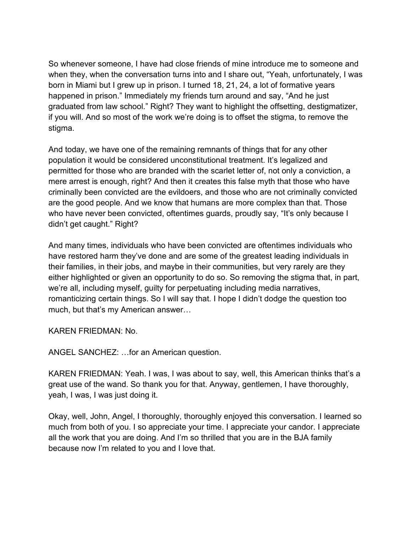So whenever someone, I have had close friends of mine introduce me to someone and when they, when the conversation turns into and I share out, "Yeah, unfortunately, I was born in Miami but I grew up in prison. I turned 18, 21, 24, a lot of formative years happened in prison." Immediately my friends turn around and say, "And he just graduated from law school." Right? They want to highlight the offsetting, destigmatizer, if you will. And so most of the work we're doing is to offset the stigma, to remove the stigma.

And today, we have one of the remaining remnants of things that for any other population it would be considered unconstitutional treatment. It's legalized and permitted for those who are branded with the scarlet letter of, not only a conviction, a mere arrest is enough, right? And then it creates this false myth that those who have criminally been convicted are the evildoers, and those who are not criminally convicted are the good people. And we know that humans are more complex than that. Those who have never been convicted, oftentimes guards, proudly say, "It's only because I didn't get caught." Right?

And many times, individuals who have been convicted are oftentimes individuals who have restored harm they've done and are some of the greatest leading individuals in their families, in their jobs, and maybe in their communities, but very rarely are they either highlighted or given an opportunity to do so. So removing the stigma that, in part, we're all, including myself, guilty for perpetuating including media narratives, romanticizing certain things. So I will say that. I hope I didn't dodge the question too much, but that's my American answer…

KAREN FRIEDMAN: No.

ANGEL SANCHEZ: …for an American question.

KAREN FRIEDMAN: Yeah. I was, I was about to say, well, this American thinks that's a great use of the wand. So thank you for that. Anyway, gentlemen, I have thoroughly, yeah, I was, I was just doing it.

Okay, well, John, Angel, I thoroughly, thoroughly enjoyed this conversation. I learned so much from both of you. I so appreciate your time. I appreciate your candor. I appreciate all the work that you are doing. And I'm so thrilled that you are in the BJA family because now I'm related to you and I love that.